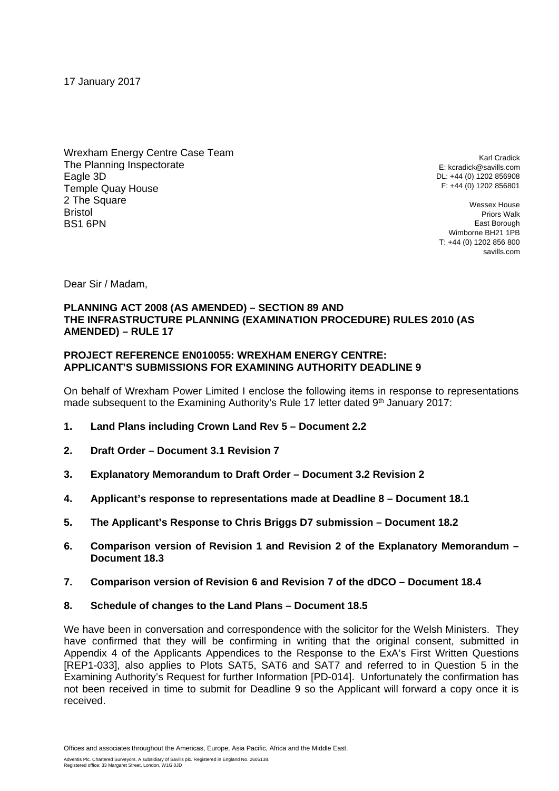17 January 2017

Wrexham Energy Centre Case Team The Planning Inspectorate Eagle 3D Temple Quay House 2 The Square Bristol BS1 6PN

Karl Cradick E: kcradick@savills.com DL: +44 (0) 1202 856908 F: +44 (0) 1202 856801

Wessex House Priors Walk East Borough Wimborne BH21 1PB T: +44 (0) 1202 856 800 savills.com

Dear Sir / Madam,

## **PLANNING ACT 2008 (AS AMENDED) – SECTION 89 AND THE INFRASTRUCTURE PLANNING (EXAMINATION PROCEDURE) RULES 2010 (AS AMENDED) – RULE 17**

## **PROJECT REFERENCE EN010055: WREXHAM ENERGY CENTRE: APPLICANT'S SUBMISSIONS FOR EXAMINING AUTHORITY DEADLINE 9**

On behalf of Wrexham Power Limited I enclose the following items in response to representations made subsequent to the Examining Authority's Rule 17 letter dated 9<sup>th</sup> January 2017:

- **1. Land Plans including Crown Land Rev 5 – Document 2.2**
- **2. Draft Order – Document 3.1 Revision 7**
- **3. Explanatory Memorandum to Draft Order – Document 3.2 Revision 2**
- **4. Applicant's response to representations made at Deadline 8 – Document 18.1**
- **5. The Applicant's Response to Chris Briggs D7 submission – Document 18.2**
- **6. Comparison version of Revision 1 and Revision 2 of the Explanatory Memorandum – Document 18.3**
- **7. Comparison version of Revision 6 and Revision 7 of the dDCO – Document 18.4**
- **8. Schedule of changes to the Land Plans – Document 18.5**

We have been in conversation and correspondence with the solicitor for the Welsh Ministers. They have confirmed that they will be confirming in writing that the original consent, submitted in Appendix 4 of the Applicants Appendices to the Response to the ExA's First Written Questions [REP1-033], also applies to Plots SAT5, SAT6 and SAT7 and referred to in Question 5 in the Examining Authority's Request for further Information [PD-014]. Unfortunately the confirmation has not been received in time to submit for Deadline 9 so the Applicant will forward a copy once it is received.